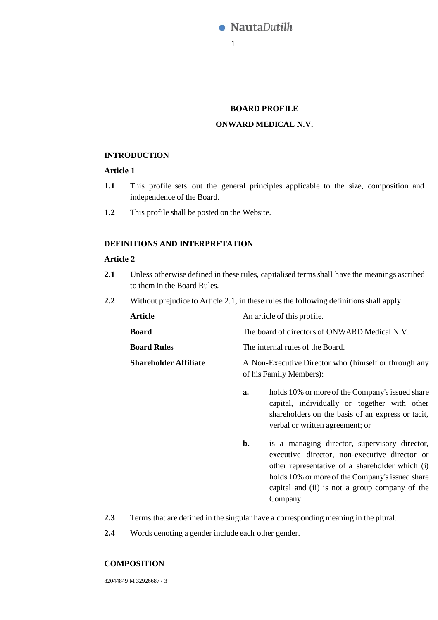

#### **BOARD PROFILE**

## **ONWARD MEDICAL N.V.**

### **INTRODUCTION**

# **Article 1**

- **1.1** This profile sets out the general principles applicable to the size, composition and independence of the Board.
- **1.2** This profile shall be posted on the Website.

# **DEFINITIONS AND INTERPRETATION**

#### **Article 2**

- **2.1** Unless otherwise defined in these rules, capitalised terms shall have the meanings ascribed to them in the Board Rules.
- **2.2** Without prejudice to Article 2.1, in these rules the following definitions shall apply:

| Article                      | An article of this profile.                          |
|------------------------------|------------------------------------------------------|
| <b>Board</b>                 | The board of directors of ONWARD Medical N.V.        |
| <b>Board Rules</b>           | The internal rules of the Board.                     |
| <b>Shareholder Affiliate</b> | A Non-Executive Director who (himself or through any |

of his Family Members):

- **a.** holds 10% or more of the Company's issued share capital, individually or together with other shareholders on the basis of an express or tacit, verbal or written agreement; or
- **b.** is a managing director, supervisory director, executive director, non-executive director or other representative of a shareholder which (i) holds 10% or more of the Company's issued share capital and (ii) is not a group company of the Company.
- **2.3** Terms that are defined in the singular have a corresponding meaning in the plural.
- **2.4** Words denoting a gender include each other gender.

#### **COMPOSITION**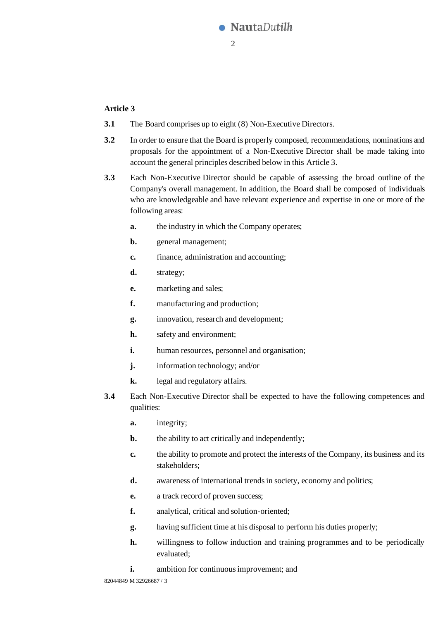

# <span id="page-1-0"></span>**Article 3**

- **3.1** The Board comprises up to eight (8) Non-Executive Directors.
- **3.2** In order to ensure that the Board is properly composed, recommendations, nominations and proposals for the appointment of a Non-Executive Director shall be made taking into account the general principles described below in this [Article 3.](#page-1-0)
- **3.3** Each Non-Executive Director should be capable of assessing the broad outline of the Company's overall management. In addition, the Board shall be composed of individuals who are knowledgeable and have relevant experience and expertise in one or more of the following areas:
	- **a.** the industry in which the Company operates;
	- **b.** general management;
	- **c.** finance, administration and accounting;
	- **d.** strategy;
	- **e.** marketing and sales;
	- **f.** manufacturing and production;
	- **g.** innovation, research and development;
	- **h.** safety and environment;
	- **i.** human resources, personnel and organisation;
	- **j.** information technology; and/or
	- **k.** legal and regulatory affairs.
- **3.4** Each Non-Executive Director shall be expected to have the following competences and qualities:
	- **a.** integrity;
	- **b.** the ability to act critically and independently;
	- **c.** the ability to promote and protect the interests of the Company, its business and its stakeholders;
	- **d.** awareness of international trends in society, economy and politics;
	- **e.** a track record of proven success;
	- **f.** analytical, critical and solution-oriented;
	- **g.** having sufficient time at his disposal to perform his duties properly;
	- **h.** willingness to follow induction and training programmes and to be periodically evaluated;
	- **i.** ambition for continuous improvement; and